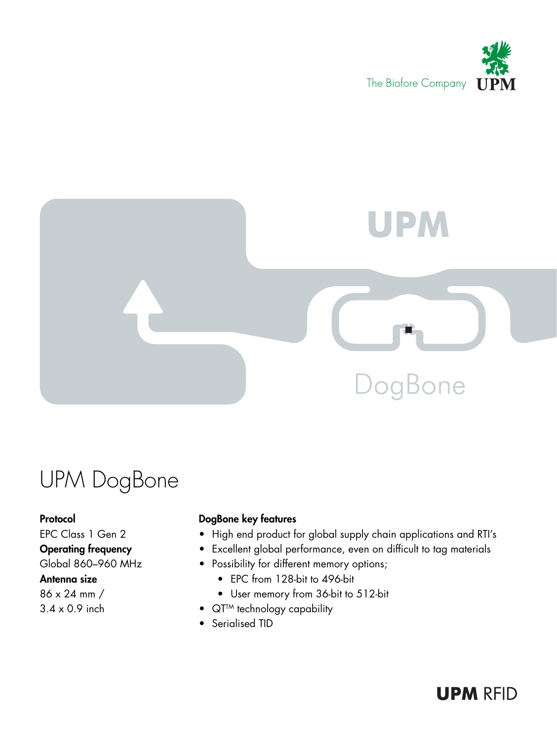



## UPM DogBone

Protocol EPC Class 1 Gen 2 Operating frequency Global 860–960 MHz Antenna size

86 x 24 mm / 3.4 x 0.9 inch

### DogBone key features

- High end product for global supply chain applications and RTI's
- • Excellent global performance, even on difficult to tag materials
- • Possibility for different memory options;
	- EPC from 128-bit to 496-bit
	- User memory from 36-bit to 512-bit
- QT<sup>TM</sup> technology capability
- Serialised TID